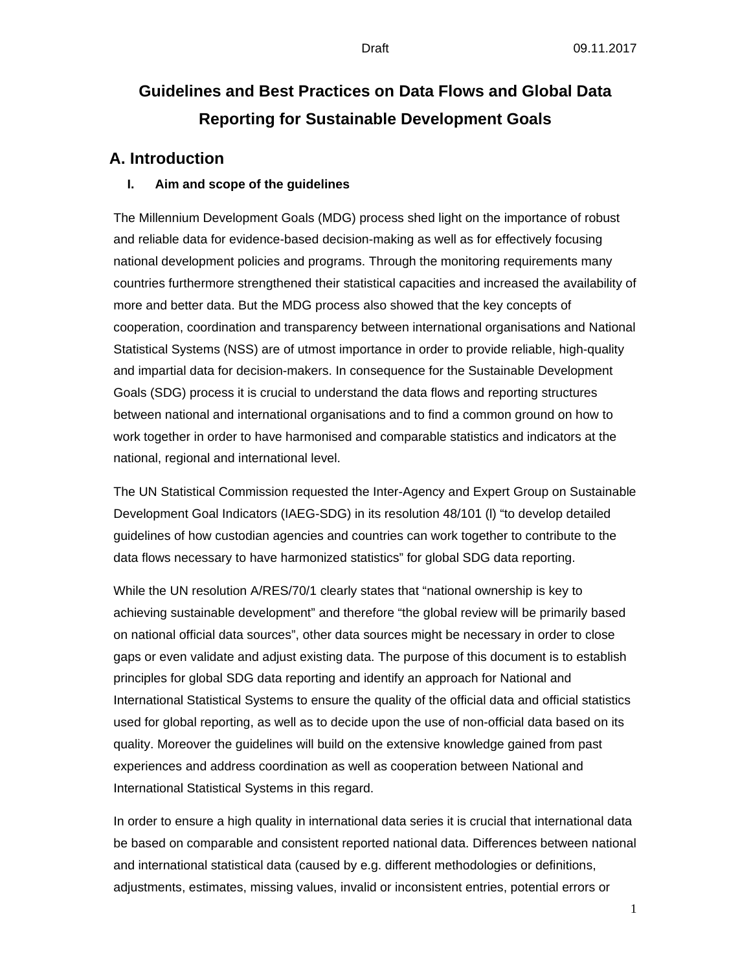# **Guidelines and Best Practices on Data Flows and Global Data Reporting for Sustainable Development Goals**

### **A. Introduction**

#### **I. Aim and scope of the guidelines**

The Millennium Development Goals (MDG) process shed light on the importance of robust and reliable data for evidence-based decision-making as well as for effectively focusing national development policies and programs. Through the monitoring requirements many countries furthermore strengthened their statistical capacities and increased the availability of more and better data. But the MDG process also showed that the key concepts of cooperation, coordination and transparency between international organisations and National Statistical Systems (NSS) are of utmost importance in order to provide reliable, high-quality and impartial data for decision-makers. In consequence for the Sustainable Development Goals (SDG) process it is crucial to understand the data flows and reporting structures between national and international organisations and to find a common ground on how to work together in order to have harmonised and comparable statistics and indicators at the national, regional and international level.

The UN Statistical Commission requested the Inter-Agency and Expert Group on Sustainable Development Goal Indicators (IAEG-SDG) in its resolution 48/101 (l) "to develop detailed guidelines of how custodian agencies and countries can work together to contribute to the data flows necessary to have harmonized statistics" for global SDG data reporting.

While the UN resolution A/RES/70/1 clearly states that "national ownership is key to achieving sustainable development" and therefore "the global review will be primarily based on national official data sources", other data sources might be necessary in order to close gaps or even validate and adjust existing data. The purpose of this document is to establish principles for global SDG data reporting and identify an approach for National and International Statistical Systems to ensure the quality of the official data and official statistics used for global reporting, as well as to decide upon the use of non-official data based on its quality. Moreover the guidelines will build on the extensive knowledge gained from past experiences and address coordination as well as cooperation between National and International Statistical Systems in this regard.

In order to ensure a high quality in international data series it is crucial that international data be based on comparable and consistent reported national data. Differences between national and international statistical data (caused by e.g. different methodologies or definitions, adjustments, estimates, missing values, invalid or inconsistent entries, potential errors or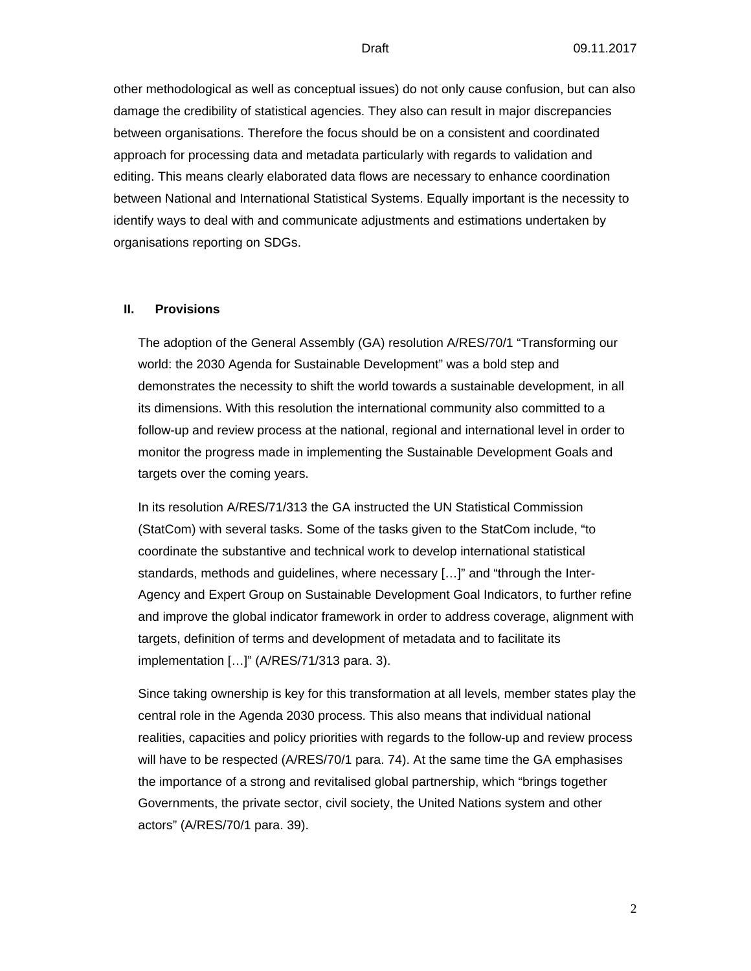other methodological as well as conceptual issues) do not only cause confusion, but can also damage the credibility of statistical agencies. They also can result in major discrepancies between organisations. Therefore the focus should be on a consistent and coordinated approach for processing data and metadata particularly with regards to validation and editing. This means clearly elaborated data flows are necessary to enhance coordination between National and International Statistical Systems. Equally important is the necessity to identify ways to deal with and communicate adjustments and estimations undertaken by organisations reporting on SDGs.

#### **II. Provisions**

The adoption of the General Assembly (GA) resolution A/RES/70/1 "Transforming our world: the 2030 Agenda for Sustainable Development" was a bold step and demonstrates the necessity to shift the world towards a sustainable development, in all its dimensions. With this resolution the international community also committed to a follow-up and review process at the national, regional and international level in order to monitor the progress made in implementing the Sustainable Development Goals and targets over the coming years.

In its resolution A/RES/71/313 the GA instructed the UN Statistical Commission (StatCom) with several tasks. Some of the tasks given to the StatCom include, "to coordinate the substantive and technical work to develop international statistical standards, methods and guidelines, where necessary […]" and "through the Inter-Agency and Expert Group on Sustainable Development Goal Indicators, to further refine and improve the global indicator framework in order to address coverage, alignment with targets, definition of terms and development of metadata and to facilitate its implementation […]" (A/RES/71/313 para. 3).

Since taking ownership is key for this transformation at all levels, member states play the central role in the Agenda 2030 process. This also means that individual national realities, capacities and policy priorities with regards to the follow-up and review process will have to be respected (A/RES/70/1 para. 74). At the same time the GA emphasises the importance of a strong and revitalised global partnership, which "brings together Governments, the private sector, civil society, the United Nations system and other actors" (A/RES/70/1 para. 39).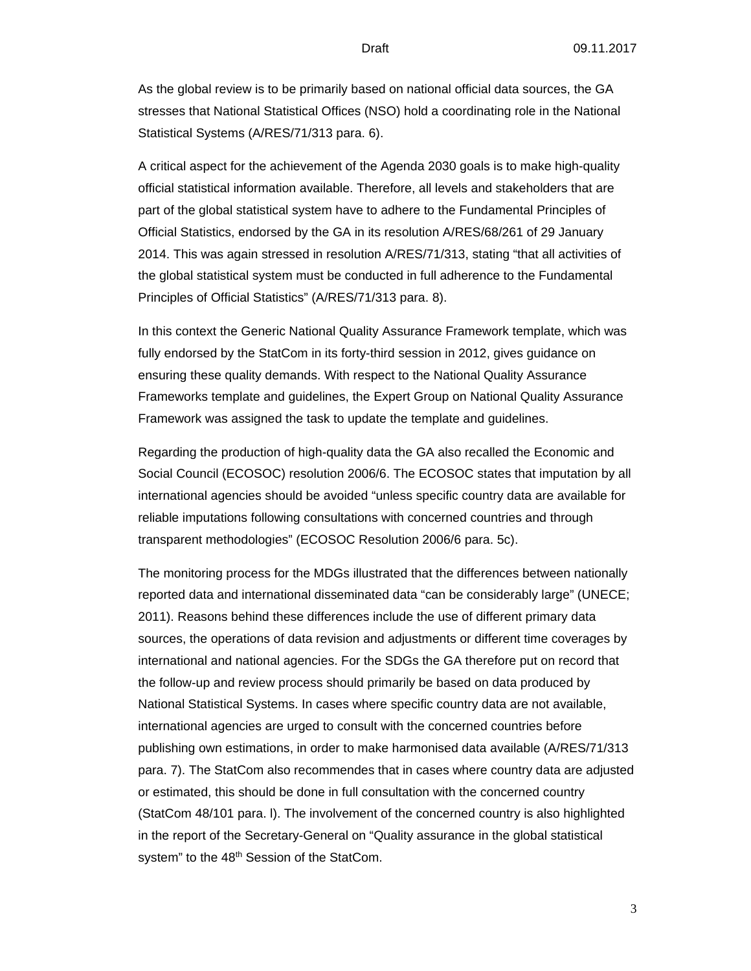As the global review is to be primarily based on national official data sources, the GA stresses that National Statistical Offices (NSO) hold a coordinating role in the National Statistical Systems (A/RES/71/313 para. 6).

A critical aspect for the achievement of the Agenda 2030 goals is to make high-quality official statistical information available. Therefore, all levels and stakeholders that are part of the global statistical system have to adhere to the Fundamental Principles of Official Statistics, endorsed by the GA in its resolution A/RES/68/261 of 29 January 2014. This was again stressed in resolution A/RES/71/313, stating "that all activities of the global statistical system must be conducted in full adherence to the Fundamental Principles of Official Statistics" (A/RES/71/313 para. 8).

In this context the Generic National Quality Assurance Framework template, which was fully endorsed by the StatCom in its forty-third session in 2012, gives guidance on ensuring these quality demands. With respect to the National Quality Assurance Frameworks template and guidelines, the Expert Group on National Quality Assurance Framework was assigned the task to update the template and guidelines.

Regarding the production of high-quality data the GA also recalled the Economic and Social Council (ECOSOC) resolution 2006/6. The ECOSOC states that imputation by all international agencies should be avoided "unless specific country data are available for reliable imputations following consultations with concerned countries and through transparent methodologies" (ECOSOC Resolution 2006/6 para. 5c).

The monitoring process for the MDGs illustrated that the differences between nationally reported data and international disseminated data "can be considerably large" (UNECE; 2011). Reasons behind these differences include the use of different primary data sources, the operations of data revision and adjustments or different time coverages by international and national agencies. For the SDGs the GA therefore put on record that the follow-up and review process should primarily be based on data produced by National Statistical Systems. In cases where specific country data are not available, international agencies are urged to consult with the concerned countries before publishing own estimations, in order to make harmonised data available (A/RES/71/313 para. 7). The StatCom also recommendes that in cases where country data are adjusted or estimated, this should be done in full consultation with the concerned country (StatCom 48/101 para. l). The involvement of the concerned country is also highlighted in the report of the Secretary-General on "Quality assurance in the global statistical system" to the 48<sup>th</sup> Session of the StatCom.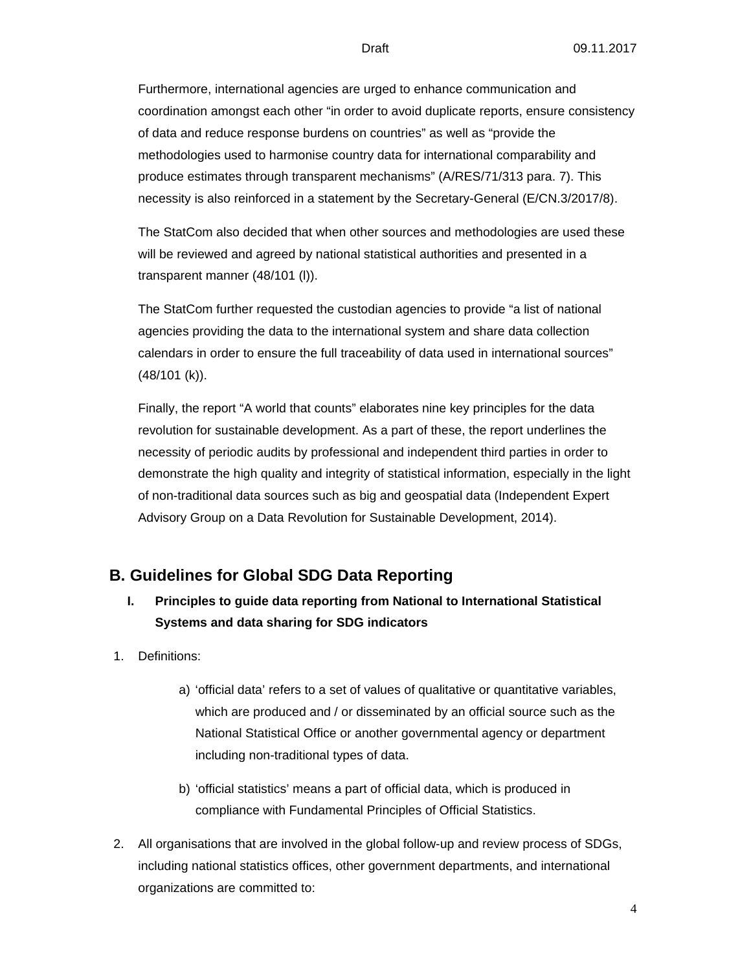Furthermore, international agencies are urged to enhance communication and coordination amongst each other "in order to avoid duplicate reports, ensure consistency of data and reduce response burdens on countries" as well as "provide the methodologies used to harmonise country data for international comparability and produce estimates through transparent mechanisms" (A/RES/71/313 para. 7). This necessity is also reinforced in a statement by the Secretary-General (E/CN.3/2017/8).

The StatCom also decided that when other sources and methodologies are used these will be reviewed and agreed by national statistical authorities and presented in a transparent manner (48/101 (l)).

The StatCom further requested the custodian agencies to provide "a list of national agencies providing the data to the international system and share data collection calendars in order to ensure the full traceability of data used in international sources" (48/101 (k)).

Finally, the report "A world that counts" elaborates nine key principles for the data revolution for sustainable development. As a part of these, the report underlines the necessity of periodic audits by professional and independent third parties in order to demonstrate the high quality and integrity of statistical information, especially in the light of non-traditional data sources such as big and geospatial data (Independent Expert Advisory Group on a Data Revolution for Sustainable Development, 2014).

## **B. Guidelines for Global SDG Data Reporting**

- **I. Principles to guide data reporting from National to International Statistical Systems and data sharing for SDG indicators**
- 1. Definitions:
	- a) 'official data' refers to a set of values of qualitative or quantitative variables, which are produced and / or disseminated by an official source such as the National Statistical Office or another governmental agency or department including non-traditional types of data.
	- b) 'official statistics' means a part of official data, which is produced in compliance with Fundamental Principles of Official Statistics.
- 2. All organisations that are involved in the global follow-up and review process of SDGs, including national statistics offices, other government departments, and international organizations are committed to: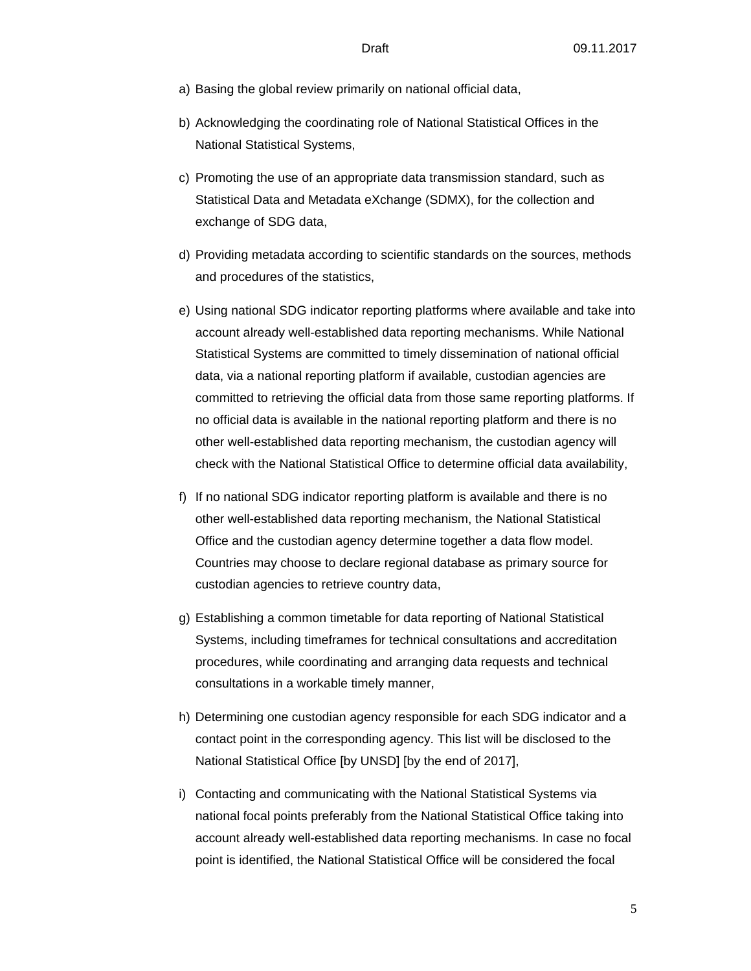- a) Basing the global review primarily on national official data,
- b) Acknowledging the coordinating role of National Statistical Offices in the National Statistical Systems,
- c) Promoting the use of an appropriate data transmission standard, such as Statistical Data and Metadata eXchange (SDMX), for the collection and exchange of SDG data,
- d) Providing metadata according to scientific standards on the sources, methods and procedures of the statistics,
- e) Using national SDG indicator reporting platforms where available and take into account already well-established data reporting mechanisms. While National Statistical Systems are committed to timely dissemination of national official data, via a national reporting platform if available, custodian agencies are committed to retrieving the official data from those same reporting platforms. If no official data is available in the national reporting platform and there is no other well-established data reporting mechanism, the custodian agency will check with the National Statistical Office to determine official data availability,
- f) If no national SDG indicator reporting platform is available and there is no other well-established data reporting mechanism, the National Statistical Office and the custodian agency determine together a data flow model. Countries may choose to declare regional database as primary source for custodian agencies to retrieve country data,
- g) Establishing a common timetable for data reporting of National Statistical Systems, including timeframes for technical consultations and accreditation procedures, while coordinating and arranging data requests and technical consultations in a workable timely manner,
- h) Determining one custodian agency responsible for each SDG indicator and a contact point in the corresponding agency. This list will be disclosed to the National Statistical Office [by UNSD] [by the end of 2017],
- i) Contacting and communicating with the National Statistical Systems via national focal points preferably from the National Statistical Office taking into account already well-established data reporting mechanisms. In case no focal point is identified, the National Statistical Office will be considered the focal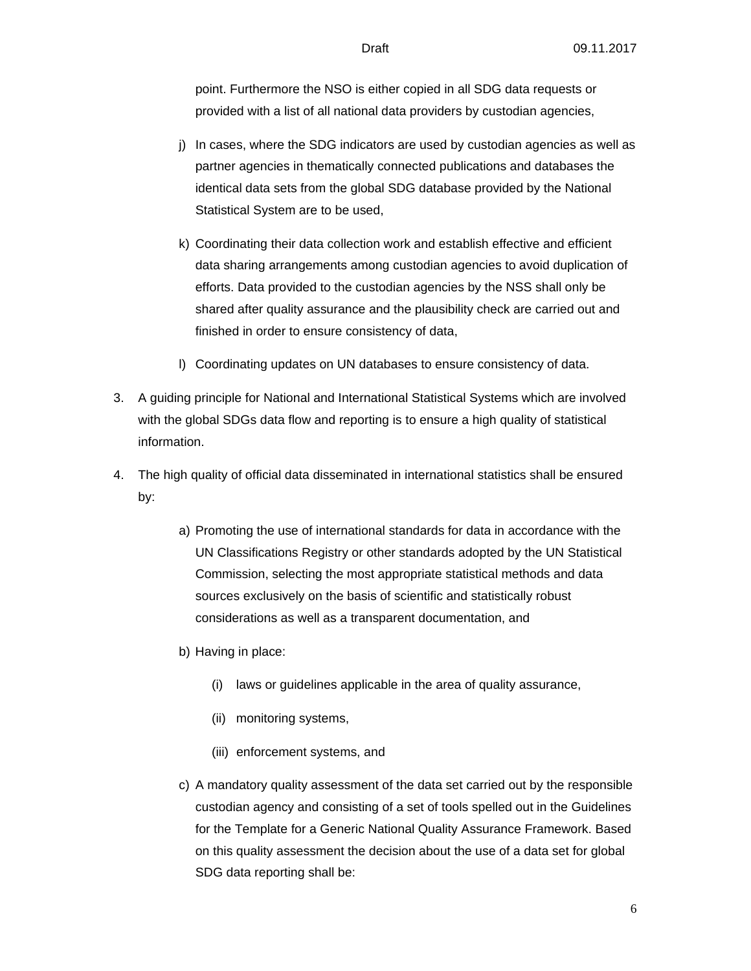point. Furthermore the NSO is either copied in all SDG data requests or provided with a list of all national data providers by custodian agencies,

- j) In cases, where the SDG indicators are used by custodian agencies as well as partner agencies in thematically connected publications and databases the identical data sets from the global SDG database provided by the National Statistical System are to be used,
- k) Coordinating their data collection work and establish effective and efficient data sharing arrangements among custodian agencies to avoid duplication of efforts. Data provided to the custodian agencies by the NSS shall only be shared after quality assurance and the plausibility check are carried out and finished in order to ensure consistency of data,
- l) Coordinating updates on UN databases to ensure consistency of data.
- 3. A guiding principle for National and International Statistical Systems which are involved with the global SDGs data flow and reporting is to ensure a high quality of statistical information.
- 4. The high quality of official data disseminated in international statistics shall be ensured by:
	- a) Promoting the use of international standards for data in accordance with the UN Classifications Registry or other standards adopted by the UN Statistical Commission, selecting the most appropriate statistical methods and data sources exclusively on the basis of scientific and statistically robust considerations as well as a transparent documentation, and
	- b) Having in place:
		- (i) laws or guidelines applicable in the area of quality assurance,
		- (ii) monitoring systems,
		- (iii) enforcement systems, and
	- c) A mandatory quality assessment of the data set carried out by the responsible custodian agency and consisting of a set of tools spelled out in the Guidelines for the Template for a Generic National Quality Assurance Framework. Based on this quality assessment the decision about the use of a data set for global SDG data reporting shall be: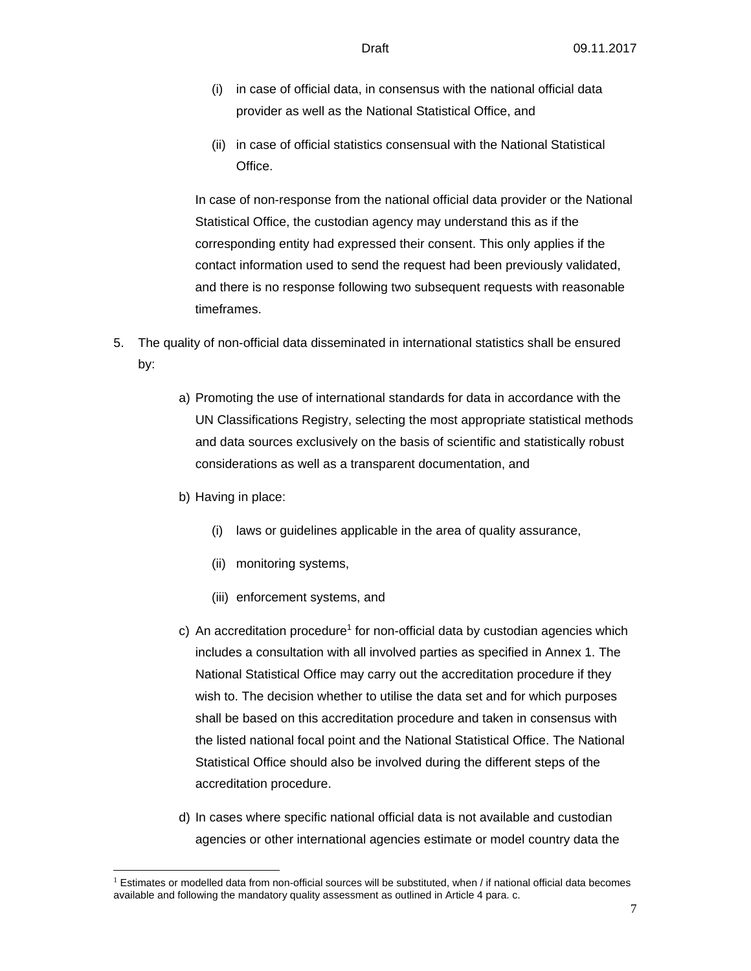- (i) in case of official data, in consensus with the national official data provider as well as the National Statistical Office, and
- (ii) in case of official statistics consensual with the National Statistical Office.

In case of non-response from the national official data provider or the National Statistical Office, the custodian agency may understand this as if the corresponding entity had expressed their consent. This only applies if the contact information used to send the request had been previously validated, and there is no response following two subsequent requests with reasonable timeframes.

- 5. The quality of non-official data disseminated in international statistics shall be ensured by:
	- a) Promoting the use of international standards for data in accordance with the UN Classifications Registry, selecting the most appropriate statistical methods and data sources exclusively on the basis of scientific and statistically robust considerations as well as a transparent documentation, and
	- b) Having in place:

 $\overline{a}$ 

- (i) laws or guidelines applicable in the area of quality assurance,
- (ii) monitoring systems,
- (iii) enforcement systems, and
- c) An accreditation procedure<sup>1</sup> for non-official data by custodian agencies which includes a consultation with all involved parties as specified in Annex 1. The National Statistical Office may carry out the accreditation procedure if they wish to. The decision whether to utilise the data set and for which purposes shall be based on this accreditation procedure and taken in consensus with the listed national focal point and the National Statistical Office. The National Statistical Office should also be involved during the different steps of the accreditation procedure.
- d) In cases where specific national official data is not available and custodian agencies or other international agencies estimate or model country data the

 $1$  Estimates or modelled data from non-official sources will be substituted, when / if national official data becomes available and following the mandatory quality assessment as outlined in Article 4 para. c.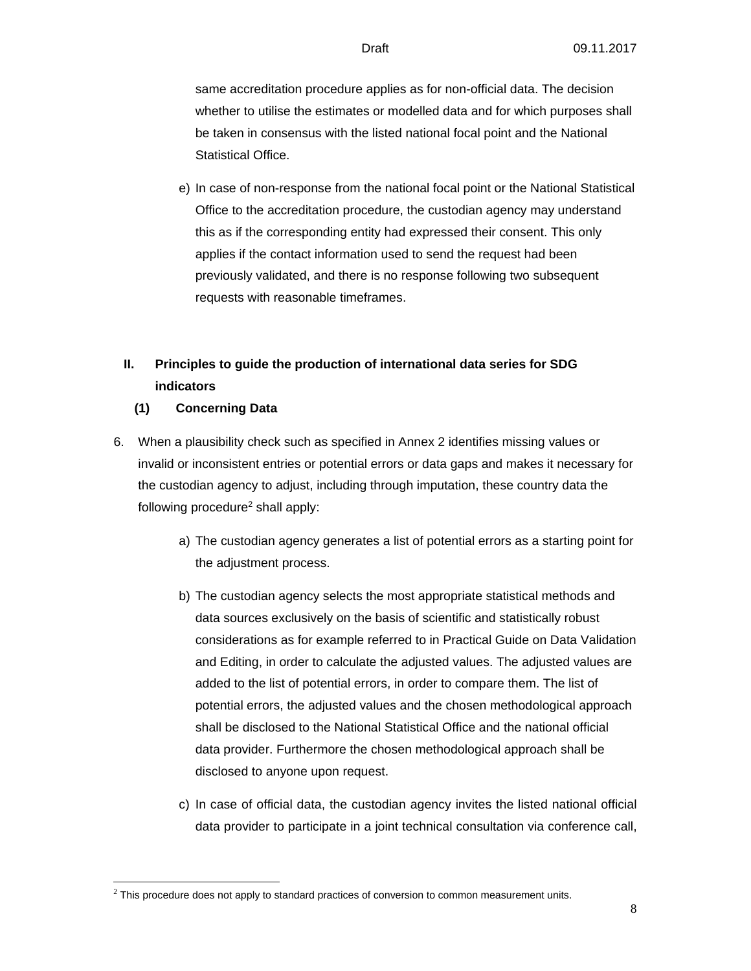same accreditation procedure applies as for non-official data. The decision whether to utilise the estimates or modelled data and for which purposes shall be taken in consensus with the listed national focal point and the National Statistical Office.

e) In case of non-response from the national focal point or the National Statistical Office to the accreditation procedure, the custodian agency may understand this as if the corresponding entity had expressed their consent. This only applies if the contact information used to send the request had been previously validated, and there is no response following two subsequent requests with reasonable timeframes.

## **II. Principles to guide the production of international data series for SDG indicators**

### **(1) Concerning Data**

l

- 6. When a plausibility check such as specified in Annex 2 identifies missing values or invalid or inconsistent entries or potential errors or data gaps and makes it necessary for the custodian agency to adjust, including through imputation, these country data the following procedure<sup>2</sup> shall apply:
	- a) The custodian agency generates a list of potential errors as a starting point for the adjustment process.
	- b) The custodian agency selects the most appropriate statistical methods and data sources exclusively on the basis of scientific and statistically robust considerations as for example referred to in Practical Guide on Data Validation and Editing, in order to calculate the adjusted values. The adjusted values are added to the list of potential errors, in order to compare them. The list of potential errors, the adjusted values and the chosen methodological approach shall be disclosed to the National Statistical Office and the national official data provider. Furthermore the chosen methodological approach shall be disclosed to anyone upon request.
	- c) In case of official data, the custodian agency invites the listed national official data provider to participate in a joint technical consultation via conference call,

 $2$  This procedure does not apply to standard practices of conversion to common measurement units.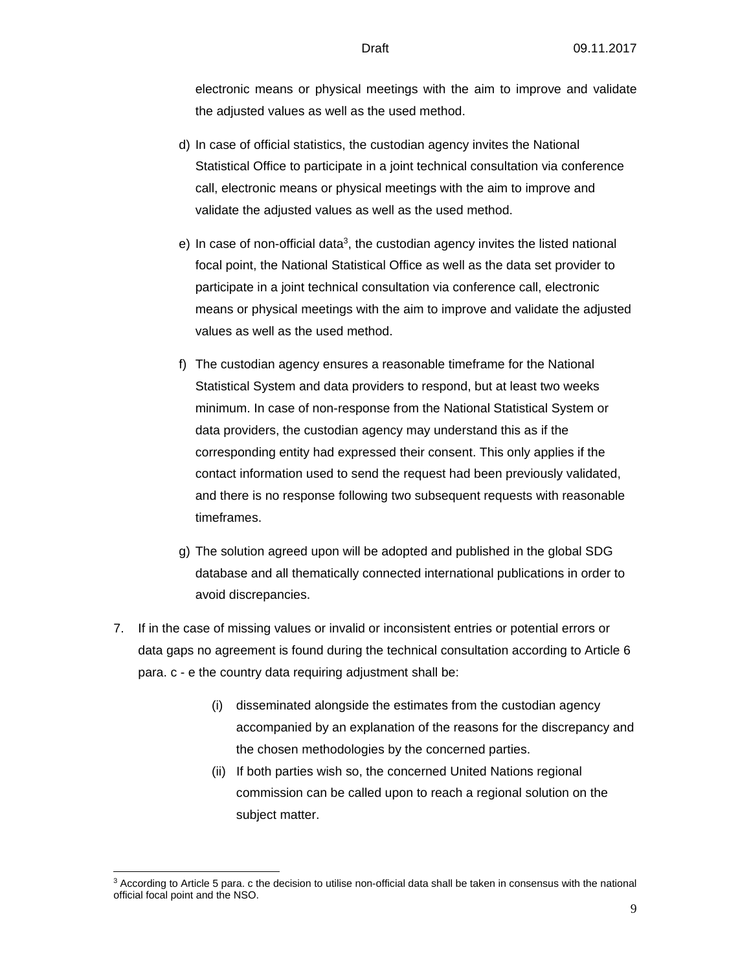electronic means or physical meetings with the aim to improve and validate the adjusted values as well as the used method.

- d) In case of official statistics, the custodian agency invites the National Statistical Office to participate in a joint technical consultation via conference call, electronic means or physical meetings with the aim to improve and validate the adjusted values as well as the used method.
- e) In case of non-official data<sup>3</sup>, the custodian agency invites the listed national focal point, the National Statistical Office as well as the data set provider to participate in a joint technical consultation via conference call, electronic means or physical meetings with the aim to improve and validate the adjusted values as well as the used method.
- f) The custodian agency ensures a reasonable timeframe for the National Statistical System and data providers to respond, but at least two weeks minimum. In case of non-response from the National Statistical System or data providers, the custodian agency may understand this as if the corresponding entity had expressed their consent. This only applies if the contact information used to send the request had been previously validated, and there is no response following two subsequent requests with reasonable timeframes.
- g) The solution agreed upon will be adopted and published in the global SDG database and all thematically connected international publications in order to avoid discrepancies.
- 7. If in the case of missing values or invalid or inconsistent entries or potential errors or data gaps no agreement is found during the technical consultation according to Article 6 para. c - e the country data requiring adjustment shall be:
	- (i) disseminated alongside the estimates from the custodian agency accompanied by an explanation of the reasons for the discrepancy and the chosen methodologies by the concerned parties.
	- (ii) If both parties wish so, the concerned United Nations regional commission can be called upon to reach a regional solution on the subject matter.

l

<sup>3</sup> According to Article 5 para. c the decision to utilise non-official data shall be taken in consensus with the national official focal point and the NSO.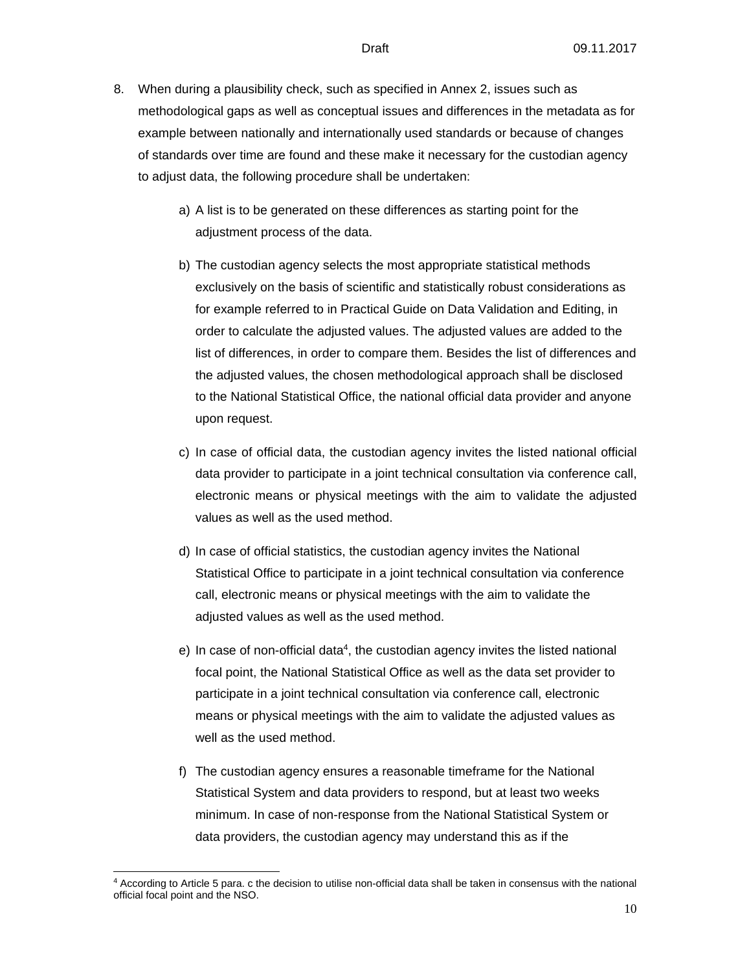- 8. When during a plausibility check, such as specified in Annex 2, issues such as methodological gaps as well as conceptual issues and differences in the metadata as for example between nationally and internationally used standards or because of changes of standards over time are found and these make it necessary for the custodian agency to adjust data, the following procedure shall be undertaken:
	- a) A list is to be generated on these differences as starting point for the adjustment process of the data.
	- b) The custodian agency selects the most appropriate statistical methods exclusively on the basis of scientific and statistically robust considerations as for example referred to in Practical Guide on Data Validation and Editing, in order to calculate the adjusted values. The adjusted values are added to the list of differences, in order to compare them. Besides the list of differences and the adjusted values, the chosen methodological approach shall be disclosed to the National Statistical Office, the national official data provider and anyone upon request.
	- c) In case of official data, the custodian agency invites the listed national official data provider to participate in a joint technical consultation via conference call, electronic means or physical meetings with the aim to validate the adjusted values as well as the used method.
	- d) In case of official statistics, the custodian agency invites the National Statistical Office to participate in a joint technical consultation via conference call, electronic means or physical meetings with the aim to validate the adjusted values as well as the used method.
	- e) In case of non-official data<sup>4</sup>, the custodian agency invites the listed national focal point, the National Statistical Office as well as the data set provider to participate in a joint technical consultation via conference call, electronic means or physical meetings with the aim to validate the adjusted values as well as the used method.
	- f) The custodian agency ensures a reasonable timeframe for the National Statistical System and data providers to respond, but at least two weeks minimum. In case of non-response from the National Statistical System or data providers, the custodian agency may understand this as if the

l

<sup>4</sup> According to Article 5 para. c the decision to utilise non-official data shall be taken in consensus with the national official focal point and the NSO.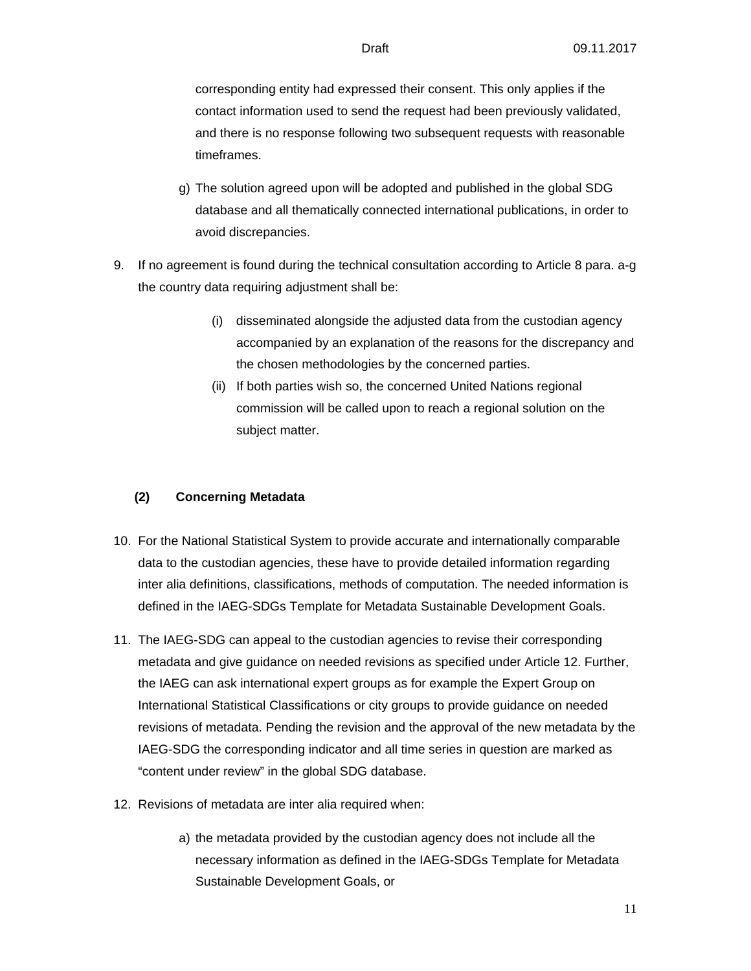corresponding entity had expressed their consent. This only applies if the contact information used to send the request had been previously validated, and there is no response following two subsequent requests with reasonable timeframes.

- g) The solution agreed upon will be adopted and published in the global SDG database and all thematically connected international publications, in order to avoid discrepancies.
- 9. If no agreement is found during the technical consultation according to Article 8 para. a-g the country data requiring adjustment shall be:
	- (i) disseminated alongside the adjusted data from the custodian agency accompanied by an explanation of the reasons for the discrepancy and the chosen methodologies by the concerned parties.
	- (ii) If both parties wish so, the concerned United Nations regional commission will be called upon to reach a regional solution on the subject matter.

### **(2) Concerning Metadata**

- 10. For the National Statistical System to provide accurate and internationally comparable data to the custodian agencies, these have to provide detailed information regarding inter alia definitions, classifications, methods of computation. The needed information is defined in the IAEG-SDGs Template for Metadata Sustainable Development Goals.
- 11. The IAEG-SDG can appeal to the custodian agencies to revise their corresponding metadata and give guidance on needed revisions as specified under Article 12. Further, the IAEG can ask international expert groups as for example the Expert Group on International Statistical Classifications or city groups to provide guidance on needed revisions of metadata. Pending the revision and the approval of the new metadata by the IAEG-SDG the corresponding indicator and all time series in question are marked as "content under review" in the global SDG database.
- 12. Revisions of metadata are inter alia required when:
	- a) the metadata provided by the custodian agency does not include all the necessary information as defined in the IAEG-SDGs Template for Metadata Sustainable Development Goals, or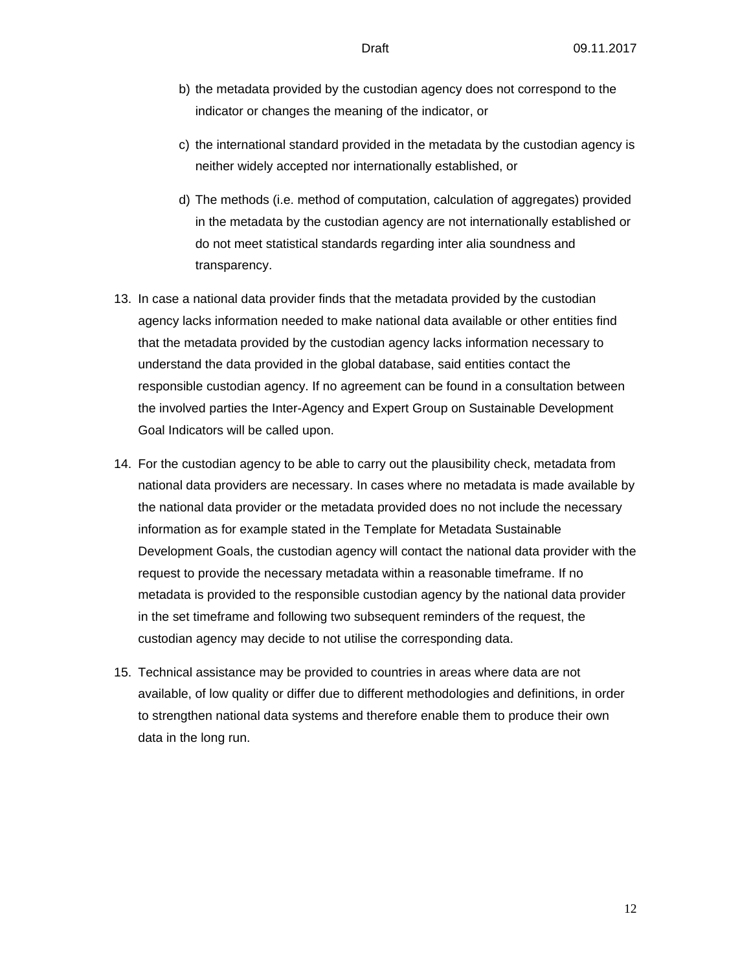- b) the metadata provided by the custodian agency does not correspond to the indicator or changes the meaning of the indicator, or
- c) the international standard provided in the metadata by the custodian agency is neither widely accepted nor internationally established, or
- d) The methods (i.e. method of computation, calculation of aggregates) provided in the metadata by the custodian agency are not internationally established or do not meet statistical standards regarding inter alia soundness and transparency.
- 13. In case a national data provider finds that the metadata provided by the custodian agency lacks information needed to make national data available or other entities find that the metadata provided by the custodian agency lacks information necessary to understand the data provided in the global database, said entities contact the responsible custodian agency. If no agreement can be found in a consultation between the involved parties the Inter-Agency and Expert Group on Sustainable Development Goal Indicators will be called upon.
- 14. For the custodian agency to be able to carry out the plausibility check, metadata from national data providers are necessary. In cases where no metadata is made available by the national data provider or the metadata provided does no not include the necessary information as for example stated in the Template for Metadata Sustainable Development Goals, the custodian agency will contact the national data provider with the request to provide the necessary metadata within a reasonable timeframe. If no metadata is provided to the responsible custodian agency by the national data provider in the set timeframe and following two subsequent reminders of the request, the custodian agency may decide to not utilise the corresponding data.
- 15. Technical assistance may be provided to countries in areas where data are not available, of low quality or differ due to different methodologies and definitions, in order to strengthen national data systems and therefore enable them to produce their own data in the long run.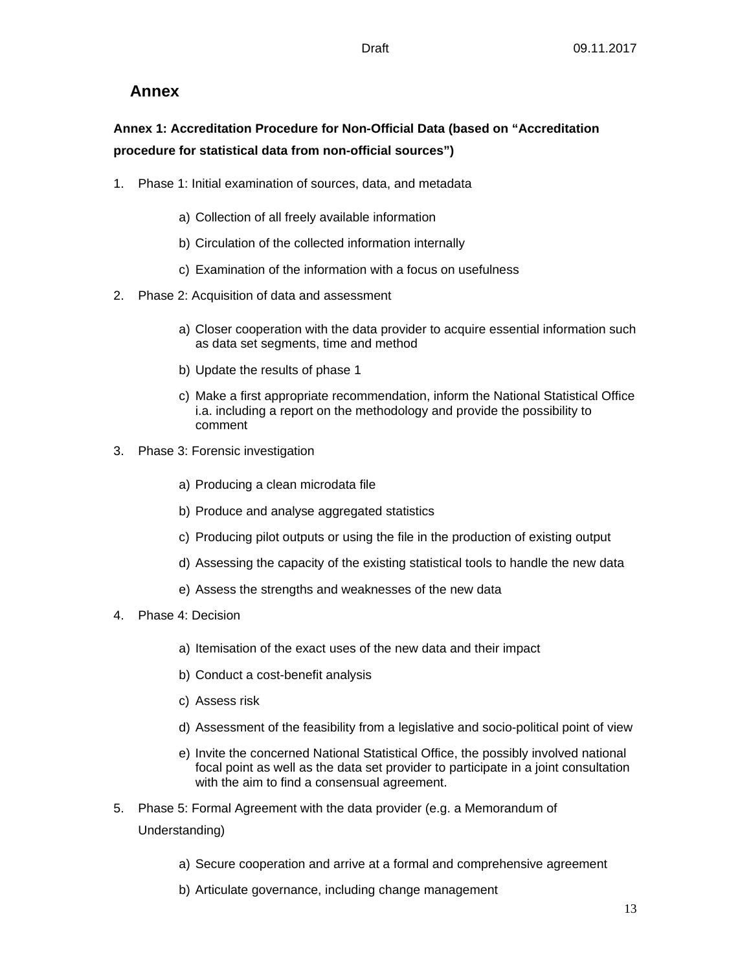## **Annex**

## **Annex 1: Accreditation Procedure for Non-Official Data (based on "Accreditation procedure for statistical data from non-official sources")**

- 1. Phase 1: Initial examination of sources, data, and metadata
	- a) Collection of all freely available information
	- b) Circulation of the collected information internally
	- c) Examination of the information with a focus on usefulness
- 2. Phase 2: Acquisition of data and assessment
	- a) Closer cooperation with the data provider to acquire essential information such as data set segments, time and method
	- b) Update the results of phase 1
	- c) Make a first appropriate recommendation, inform the National Statistical Office i.a. including a report on the methodology and provide the possibility to comment
- 3. Phase 3: Forensic investigation
	- a) Producing a clean microdata file
	- b) Produce and analyse aggregated statistics
	- c) Producing pilot outputs or using the file in the production of existing output
	- d) Assessing the capacity of the existing statistical tools to handle the new data
	- e) Assess the strengths and weaknesses of the new data
- 4. Phase 4: Decision
	- a) Itemisation of the exact uses of the new data and their impact
	- b) Conduct a cost-benefit analysis
	- c) Assess risk
	- d) Assessment of the feasibility from a legislative and socio-political point of view
	- e) Invite the concerned National Statistical Office, the possibly involved national focal point as well as the data set provider to participate in a joint consultation with the aim to find a consensual agreement.
- 5. Phase 5: Formal Agreement with the data provider (e.g. a Memorandum of Understanding)
	- a) Secure cooperation and arrive at a formal and comprehensive agreement
	- b) Articulate governance, including change management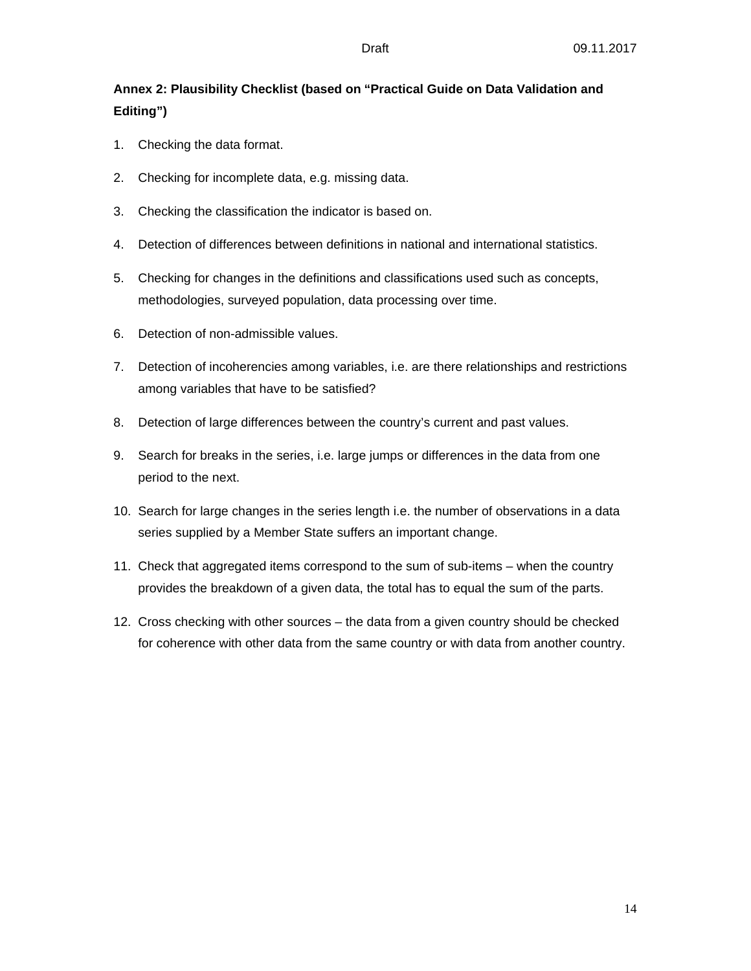## **Annex 2: Plausibility Checklist (based on "Practical Guide on Data Validation and Editing")**

- 1. Checking the data format.
- 2. Checking for incomplete data, e.g. missing data.
- 3. Checking the classification the indicator is based on.
- 4. Detection of differences between definitions in national and international statistics.
- 5. Checking for changes in the definitions and classifications used such as concepts, methodologies, surveyed population, data processing over time.
- 6. Detection of non-admissible values.
- 7. Detection of incoherencies among variables, i.e. are there relationships and restrictions among variables that have to be satisfied?
- 8. Detection of large differences between the country's current and past values.
- 9. Search for breaks in the series, i.e. large jumps or differences in the data from one period to the next.
- 10. Search for large changes in the series length i.e. the number of observations in a data series supplied by a Member State suffers an important change.
- 11. Check that aggregated items correspond to the sum of sub-items when the country provides the breakdown of a given data, the total has to equal the sum of the parts.
- 12. Cross checking with other sources the data from a given country should be checked for coherence with other data from the same country or with data from another country.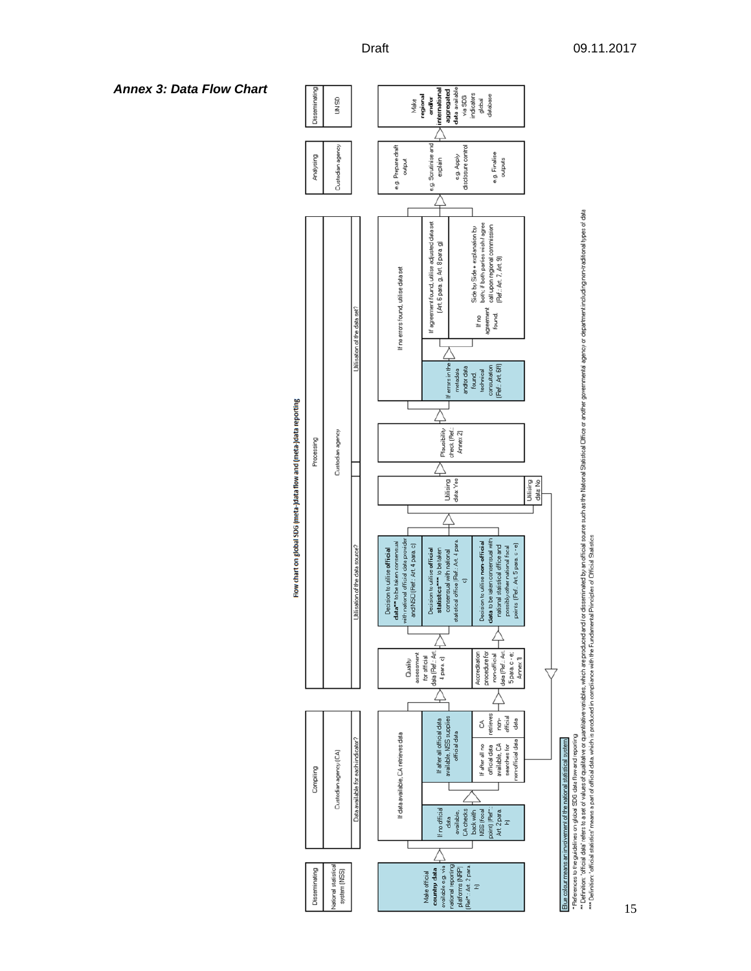

Flow chart on global SDG (meta-)data flow and (meta-)data reporting

\* References to the signifiers on global SDG data Row and the produced which are produced and to descriminable official scores such as the Malional Diffice or another governmental agency or denotion of data to Data The Suc

#### *Annex 3: Data Flow Chart*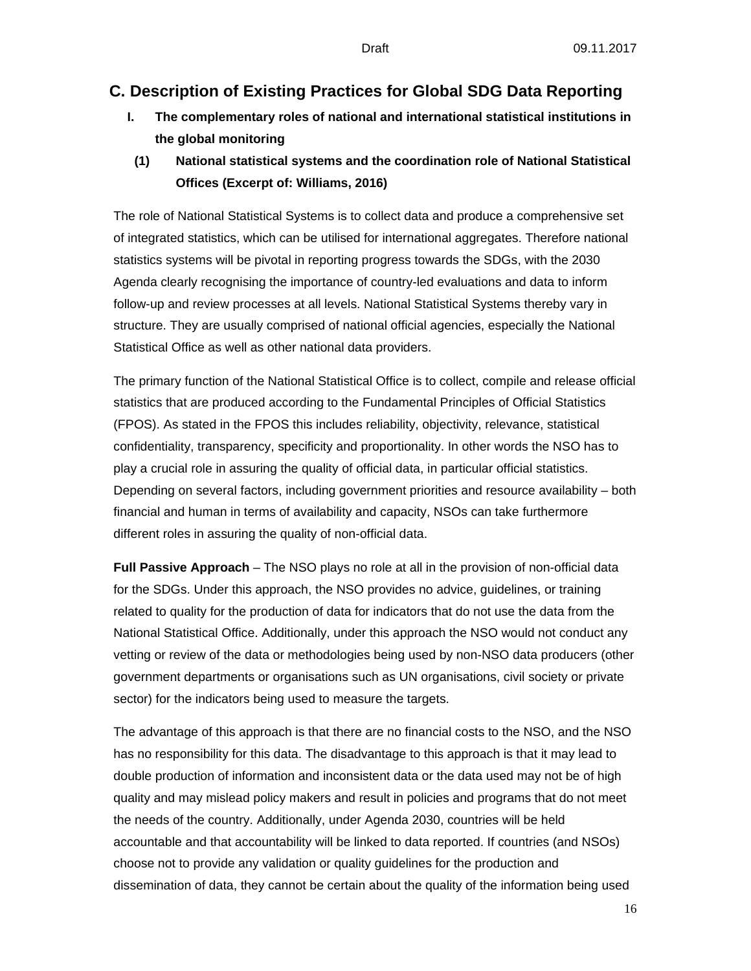## **C. Description of Existing Practices for Global SDG Data Reporting**

- **I. The complementary roles of national and international statistical institutions in the global monitoring**
- **(1) National statistical systems and the coordination role of National Statistical Offices (Excerpt of: Williams, 2016)**

The role of National Statistical Systems is to collect data and produce a comprehensive set of integrated statistics, which can be utilised for international aggregates. Therefore national statistics systems will be pivotal in reporting progress towards the SDGs, with the 2030 Agenda clearly recognising the importance of country-led evaluations and data to inform follow-up and review processes at all levels. National Statistical Systems thereby vary in structure. They are usually comprised of national official agencies, especially the National Statistical Office as well as other national data providers.

The primary function of the National Statistical Office is to collect, compile and release official statistics that are produced according to the Fundamental Principles of Official Statistics (FPOS). As stated in the FPOS this includes reliability, objectivity, relevance, statistical confidentiality, transparency, specificity and proportionality. In other words the NSO has to play a crucial role in assuring the quality of official data, in particular official statistics. Depending on several factors, including government priorities and resource availability – both financial and human in terms of availability and capacity, NSOs can take furthermore different roles in assuring the quality of non-official data.

**Full Passive Approach** – The NSO plays no role at all in the provision of non-official data for the SDGs. Under this approach, the NSO provides no advice, guidelines, or training related to quality for the production of data for indicators that do not use the data from the National Statistical Office. Additionally, under this approach the NSO would not conduct any vetting or review of the data or methodologies being used by non-NSO data producers (other government departments or organisations such as UN organisations, civil society or private sector) for the indicators being used to measure the targets.

The advantage of this approach is that there are no financial costs to the NSO, and the NSO has no responsibility for this data. The disadvantage to this approach is that it may lead to double production of information and inconsistent data or the data used may not be of high quality and may mislead policy makers and result in policies and programs that do not meet the needs of the country. Additionally, under Agenda 2030, countries will be held accountable and that accountability will be linked to data reported. If countries (and NSOs) choose not to provide any validation or quality guidelines for the production and dissemination of data, they cannot be certain about the quality of the information being used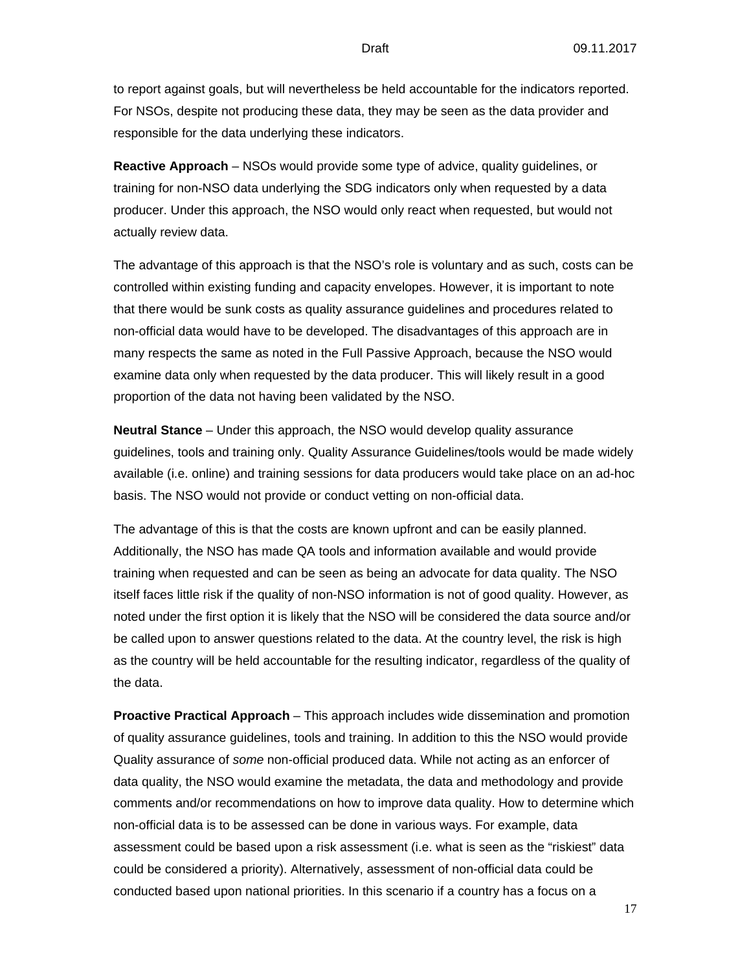to report against goals, but will nevertheless be held accountable for the indicators reported. For NSOs, despite not producing these data, they may be seen as the data provider and responsible for the data underlying these indicators.

**Reactive Approach** – NSOs would provide some type of advice, quality guidelines, or training for non-NSO data underlying the SDG indicators only when requested by a data producer. Under this approach, the NSO would only react when requested, but would not actually review data.

The advantage of this approach is that the NSO's role is voluntary and as such, costs can be controlled within existing funding and capacity envelopes. However, it is important to note that there would be sunk costs as quality assurance guidelines and procedures related to non-official data would have to be developed. The disadvantages of this approach are in many respects the same as noted in the Full Passive Approach, because the NSO would examine data only when requested by the data producer. This will likely result in a good proportion of the data not having been validated by the NSO.

**Neutral Stance** – Under this approach, the NSO would develop quality assurance guidelines, tools and training only. Quality Assurance Guidelines/tools would be made widely available (i.e. online) and training sessions for data producers would take place on an ad-hoc basis. The NSO would not provide or conduct vetting on non-official data.

The advantage of this is that the costs are known upfront and can be easily planned. Additionally, the NSO has made QA tools and information available and would provide training when requested and can be seen as being an advocate for data quality. The NSO itself faces little risk if the quality of non-NSO information is not of good quality. However, as noted under the first option it is likely that the NSO will be considered the data source and/or be called upon to answer questions related to the data. At the country level, the risk is high as the country will be held accountable for the resulting indicator, regardless of the quality of the data.

**Proactive Practical Approach** – This approach includes wide dissemination and promotion of quality assurance guidelines, tools and training. In addition to this the NSO would provide Quality assurance of *some* non-official produced data. While not acting as an enforcer of data quality, the NSO would examine the metadata, the data and methodology and provide comments and/or recommendations on how to improve data quality. How to determine which non-official data is to be assessed can be done in various ways. For example, data assessment could be based upon a risk assessment (i.e. what is seen as the "riskiest" data could be considered a priority). Alternatively, assessment of non-official data could be conducted based upon national priorities. In this scenario if a country has a focus on a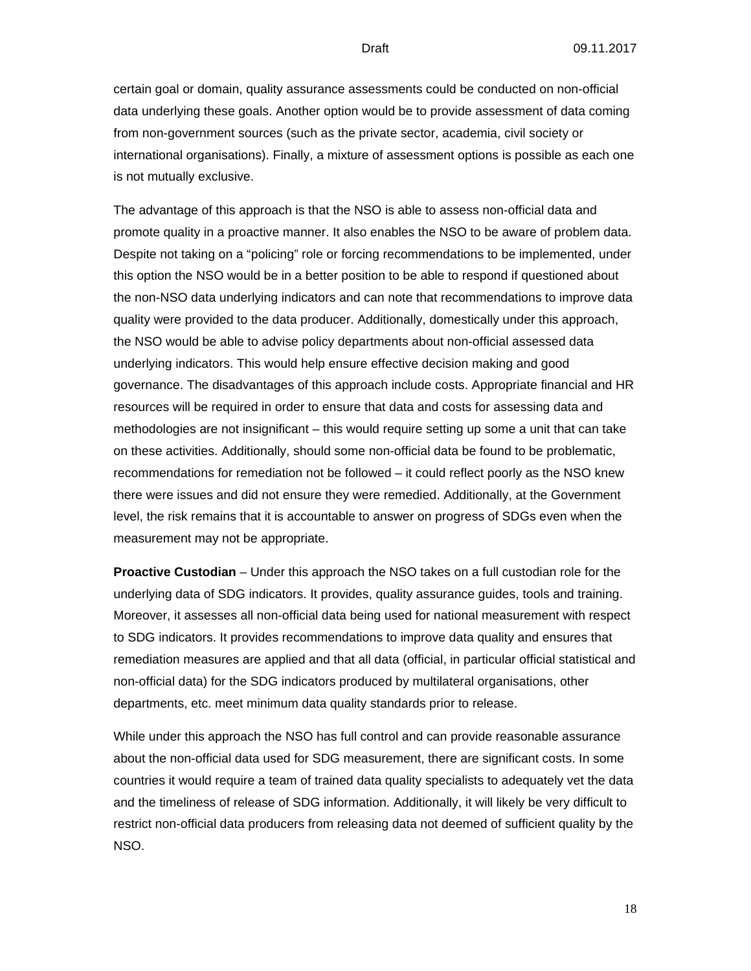certain goal or domain, quality assurance assessments could be conducted on non-official data underlying these goals. Another option would be to provide assessment of data coming from non-government sources (such as the private sector, academia, civil society or international organisations). Finally, a mixture of assessment options is possible as each one is not mutually exclusive.

The advantage of this approach is that the NSO is able to assess non-official data and promote quality in a proactive manner. It also enables the NSO to be aware of problem data. Despite not taking on a "policing" role or forcing recommendations to be implemented, under this option the NSO would be in a better position to be able to respond if questioned about the non-NSO data underlying indicators and can note that recommendations to improve data quality were provided to the data producer. Additionally, domestically under this approach, the NSO would be able to advise policy departments about non-official assessed data underlying indicators. This would help ensure effective decision making and good governance. The disadvantages of this approach include costs. Appropriate financial and HR resources will be required in order to ensure that data and costs for assessing data and methodologies are not insignificant – this would require setting up some a unit that can take on these activities. Additionally, should some non-official data be found to be problematic, recommendations for remediation not be followed – it could reflect poorly as the NSO knew there were issues and did not ensure they were remedied. Additionally, at the Government level, the risk remains that it is accountable to answer on progress of SDGs even when the measurement may not be appropriate.

**Proactive Custodian** – Under this approach the NSO takes on a full custodian role for the underlying data of SDG indicators. It provides, quality assurance guides, tools and training. Moreover, it assesses all non-official data being used for national measurement with respect to SDG indicators. It provides recommendations to improve data quality and ensures that remediation measures are applied and that all data (official, in particular official statistical and non-official data) for the SDG indicators produced by multilateral organisations, other departments, etc. meet minimum data quality standards prior to release.

While under this approach the NSO has full control and can provide reasonable assurance about the non-official data used for SDG measurement, there are significant costs. In some countries it would require a team of trained data quality specialists to adequately vet the data and the timeliness of release of SDG information. Additionally, it will likely be very difficult to restrict non-official data producers from releasing data not deemed of sufficient quality by the NSO.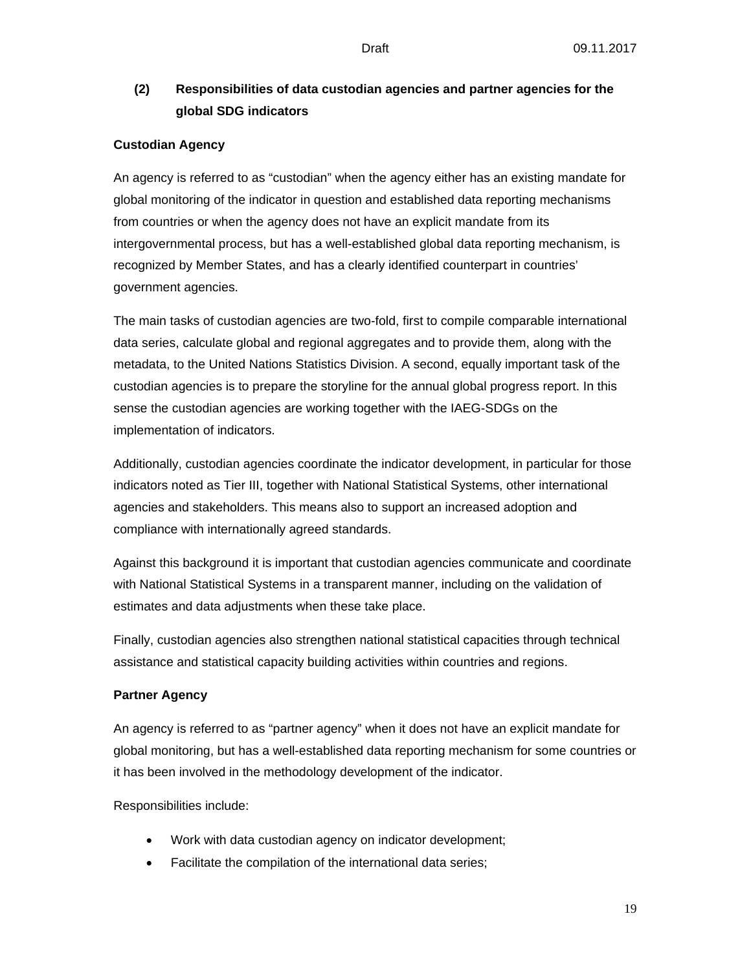## **(2) Responsibilities of data custodian agencies and partner agencies for the global SDG indicators**

### **Custodian Agency**

An agency is referred to as "custodian" when the agency either has an existing mandate for global monitoring of the indicator in question and established data reporting mechanisms from countries or when the agency does not have an explicit mandate from its intergovernmental process, but has a well-established global data reporting mechanism, is recognized by Member States, and has a clearly identified counterpart in countries' government agencies.

The main tasks of custodian agencies are two-fold, first to compile comparable international data series, calculate global and regional aggregates and to provide them, along with the metadata, to the United Nations Statistics Division. A second, equally important task of the custodian agencies is to prepare the storyline for the annual global progress report. In this sense the custodian agencies are working together with the IAEG-SDGs on the implementation of indicators.

Additionally, custodian agencies coordinate the indicator development, in particular for those indicators noted as Tier III, together with National Statistical Systems, other international agencies and stakeholders. This means also to support an increased adoption and compliance with internationally agreed standards.

Against this background it is important that custodian agencies communicate and coordinate with National Statistical Systems in a transparent manner, including on the validation of estimates and data adjustments when these take place.

Finally, custodian agencies also strengthen national statistical capacities through technical assistance and statistical capacity building activities within countries and regions.

#### **Partner Agency**

An agency is referred to as "partner agency" when it does not have an explicit mandate for global monitoring, but has a well-established data reporting mechanism for some countries or it has been involved in the methodology development of the indicator.

Responsibilities include:

- Work with data custodian agency on indicator development;
- Facilitate the compilation of the international data series;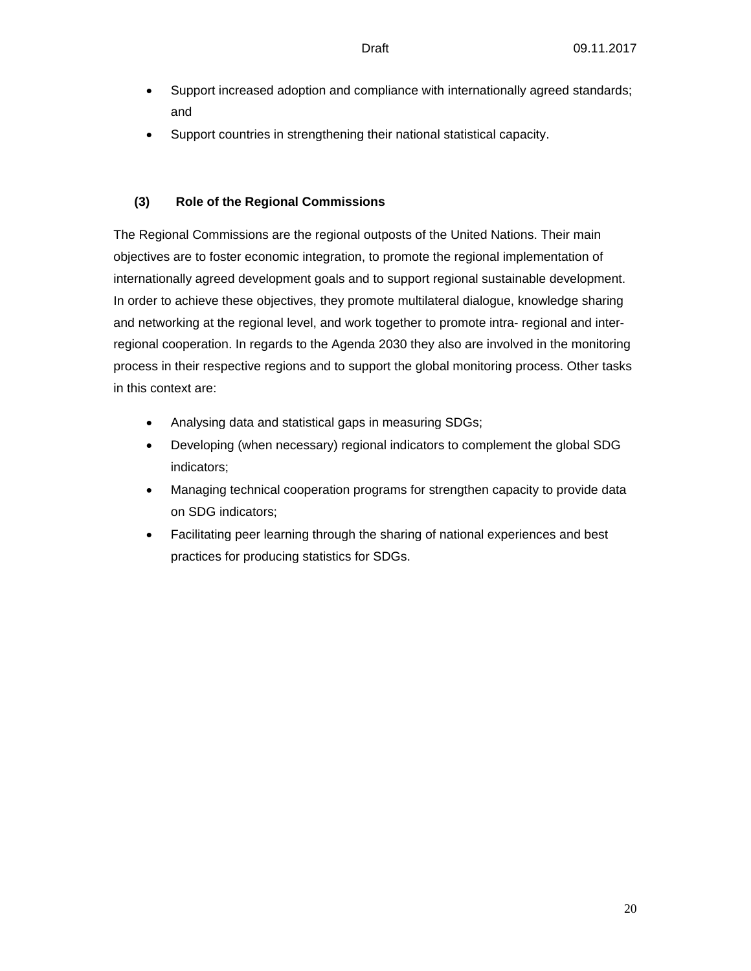- Support increased adoption and compliance with internationally agreed standards; and
- Support countries in strengthening their national statistical capacity.

### **(3) Role of the Regional Commissions**

The Regional Commissions are the regional outposts of the United Nations. Their main objectives are to foster economic integration, to promote the regional implementation of internationally agreed development goals and to support regional sustainable development. In order to achieve these objectives, they promote multilateral dialogue, knowledge sharing and networking at the regional level, and work together to promote intra- regional and interregional cooperation. In regards to the Agenda 2030 they also are involved in the monitoring process in their respective regions and to support the global monitoring process. Other tasks in this context are:

- Analysing data and statistical gaps in measuring SDGs;
- Developing (when necessary) regional indicators to complement the global SDG indicators;
- Managing technical cooperation programs for strengthen capacity to provide data on SDG indicators;
- Facilitating peer learning through the sharing of national experiences and best practices for producing statistics for SDGs.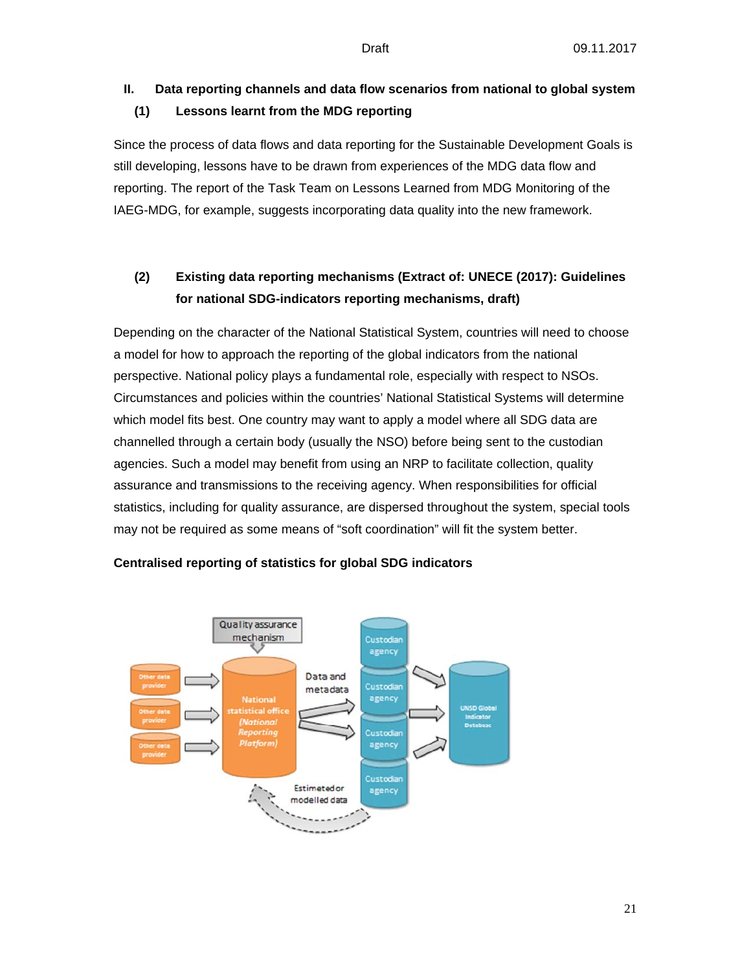## **II. Data reporting channels and data flow scenarios from national to global system (1) Lessons learnt from the MDG reporting**

Since the process of data flows and data reporting for the Sustainable Development Goals is still developing, lessons have to be drawn from experiences of the MDG data flow and reporting. The report of the Task Team on Lessons Learned from MDG Monitoring of the IAEG-MDG, for example, suggests incorporating data quality into the new framework.

## **(2) Existing data reporting mechanisms (Extract of: UNECE (2017): Guidelines for national SDG-indicators reporting mechanisms, draft)**

Depending on the character of the National Statistical System, countries will need to choose a model for how to approach the reporting of the global indicators from the national perspective. National policy plays a fundamental role, especially with respect to NSOs. Circumstances and policies within the countries' National Statistical Systems will determine which model fits best. One country may want to apply a model where all SDG data are channelled through a certain body (usually the NSO) before being sent to the custodian agencies. Such a model may benefit from using an NRP to facilitate collection, quality assurance and transmissions to the receiving agency. When responsibilities for official statistics, including for quality assurance, are dispersed throughout the system, special tools may not be required as some means of "soft coordination" will fit the system better.



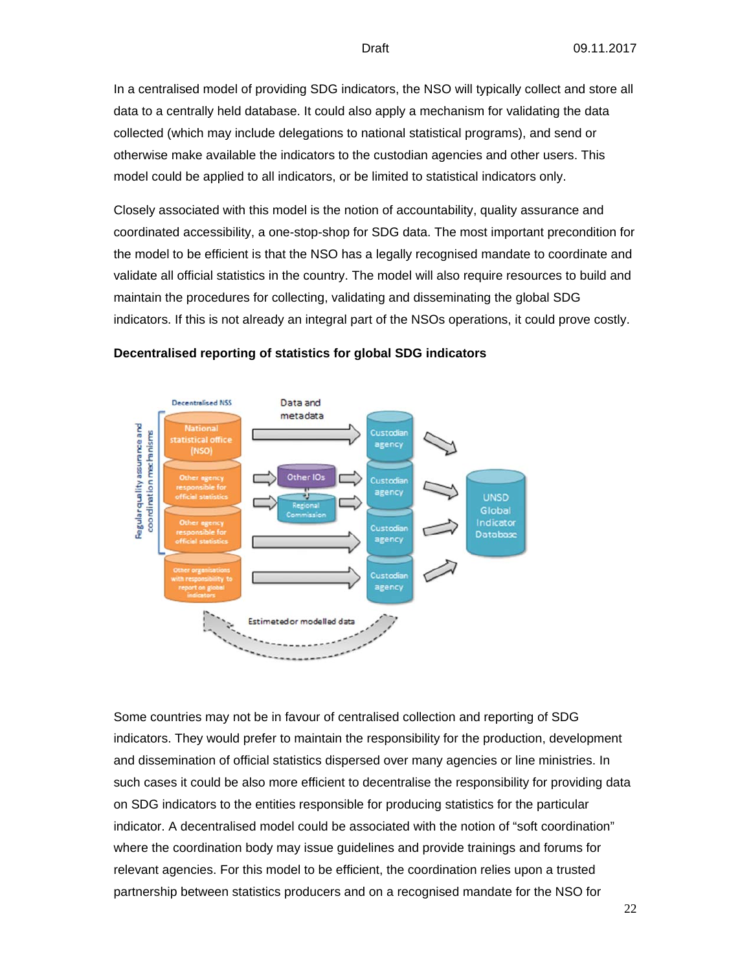In a centralised model of providing SDG indicators, the NSO will typically collect and store all data to a centrally held database. It could also apply a mechanism for validating the data collected (which may include delegations to national statistical programs), and send or otherwise make available the indicators to the custodian agencies and other users. This model could be applied to all indicators, or be limited to statistical indicators only.

Closely associated with this model is the notion of accountability, quality assurance and coordinated accessibility, a one-stop-shop for SDG data. The most important precondition for the model to be efficient is that the NSO has a legally recognised mandate to coordinate and validate all official statistics in the country. The model will also require resources to build and maintain the procedures for collecting, validating and disseminating the global SDG indicators. If this is not already an integral part of the NSOs operations, it could prove costly.



#### **Decentralised reporting of statistics for global SDG indicators**

Some countries may not be in favour of centralised collection and reporting of SDG indicators. They would prefer to maintain the responsibility for the production, development and dissemination of official statistics dispersed over many agencies or line ministries. In such cases it could be also more efficient to decentralise the responsibility for providing data on SDG indicators to the entities responsible for producing statistics for the particular indicator. A decentralised model could be associated with the notion of "soft coordination" where the coordination body may issue guidelines and provide trainings and forums for relevant agencies. For this model to be efficient, the coordination relies upon a trusted partnership between statistics producers and on a recognised mandate for the NSO for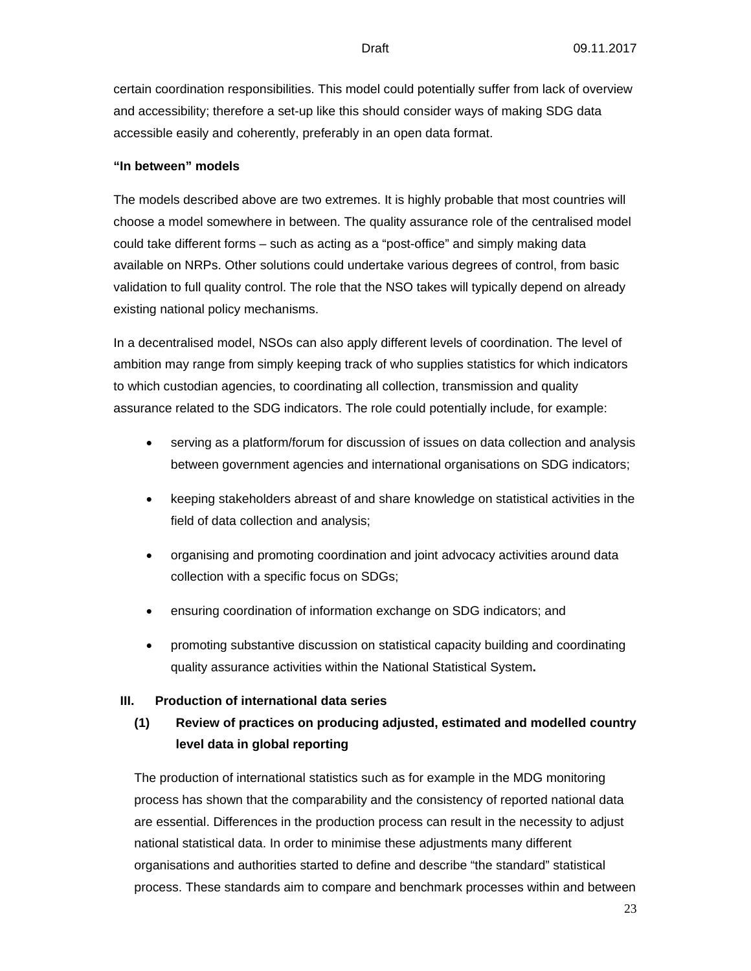certain coordination responsibilities. This model could potentially suffer from lack of overview and accessibility; therefore a set-up like this should consider ways of making SDG data accessible easily and coherently, preferably in an open data format.

#### **"In between" models**

The models described above are two extremes. It is highly probable that most countries will choose a model somewhere in between. The quality assurance role of the centralised model could take different forms – such as acting as a "post-office" and simply making data available on NRPs. Other solutions could undertake various degrees of control, from basic validation to full quality control. The role that the NSO takes will typically depend on already existing national policy mechanisms.

In a decentralised model, NSOs can also apply different levels of coordination. The level of ambition may range from simply keeping track of who supplies statistics for which indicators to which custodian agencies, to coordinating all collection, transmission and quality assurance related to the SDG indicators. The role could potentially include, for example:

- serving as a platform/forum for discussion of issues on data collection and analysis between government agencies and international organisations on SDG indicators;
- keeping stakeholders abreast of and share knowledge on statistical activities in the field of data collection and analysis;
- organising and promoting coordination and joint advocacy activities around data collection with a specific focus on SDGs;
- ensuring coordination of information exchange on SDG indicators; and
- promoting substantive discussion on statistical capacity building and coordinating quality assurance activities within the National Statistical System**.**

#### **III. Production of international data series**

## **(1) Review of practices on producing adjusted, estimated and modelled country level data in global reporting**

The production of international statistics such as for example in the MDG monitoring process has shown that the comparability and the consistency of reported national data are essential. Differences in the production process can result in the necessity to adjust national statistical data. In order to minimise these adjustments many different organisations and authorities started to define and describe "the standard" statistical process. These standards aim to compare and benchmark processes within and between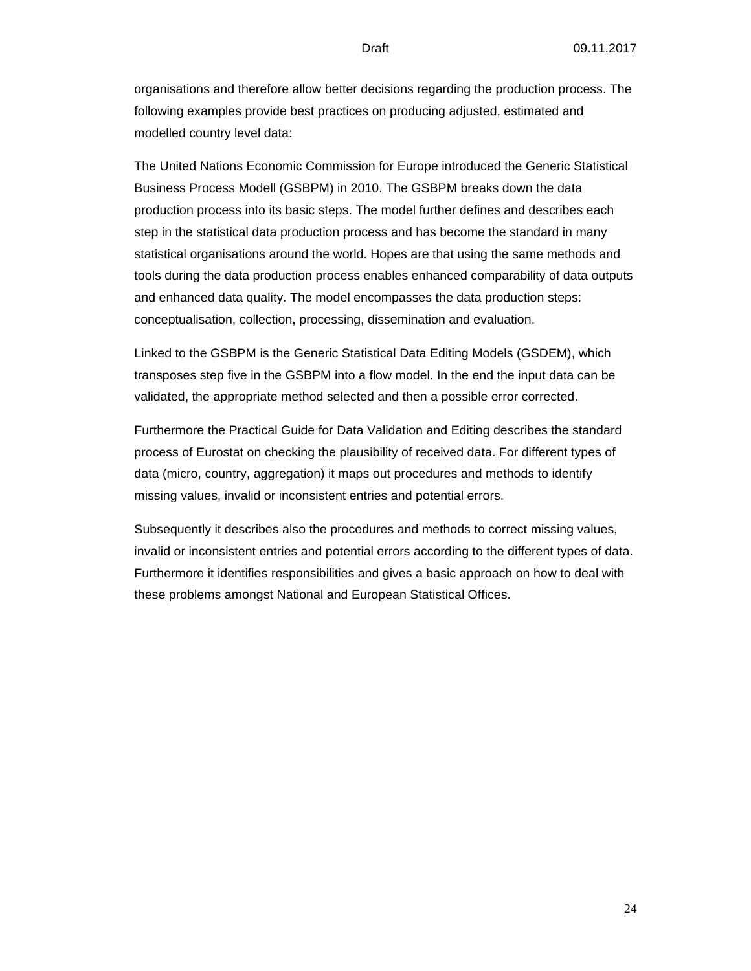organisations and therefore allow better decisions regarding the production process. The following examples provide best practices on producing adjusted, estimated and modelled country level data:

The United Nations Economic Commission for Europe introduced the Generic Statistical Business Process Modell (GSBPM) in 2010. The GSBPM breaks down the data production process into its basic steps. The model further defines and describes each step in the statistical data production process and has become the standard in many statistical organisations around the world. Hopes are that using the same methods and tools during the data production process enables enhanced comparability of data outputs and enhanced data quality. The model encompasses the data production steps: conceptualisation, collection, processing, dissemination and evaluation.

Linked to the GSBPM is the Generic Statistical Data Editing Models (GSDEM), which transposes step five in the GSBPM into a flow model. In the end the input data can be validated, the appropriate method selected and then a possible error corrected.

Furthermore the Practical Guide for Data Validation and Editing describes the standard process of Eurostat on checking the plausibility of received data. For different types of data (micro, country, aggregation) it maps out procedures and methods to identify missing values, invalid or inconsistent entries and potential errors.

Subsequently it describes also the procedures and methods to correct missing values, invalid or inconsistent entries and potential errors according to the different types of data. Furthermore it identifies responsibilities and gives a basic approach on how to deal with these problems amongst National and European Statistical Offices.